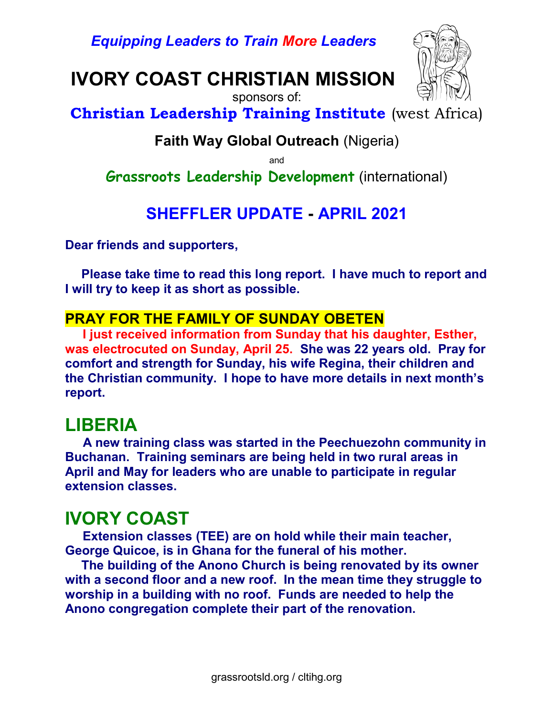Equipping Leaders to Train More Leaders

# IVORY COAST CHRISTIAN MISSION



 sponsors of: Christian Leadership Training Institute (west Africa)

### Faith Way Global Outreach (Nigeria)

and

Grassroots Leadership Development (international)

### SHEFFLER UPDATE - APRIL 2021

Dear friends and supporters,

Please take time to read this long report. I have much to report and I will try to keep it as short as possible.

### PRAY FOR THE FAMILY OF SUNDAY OBETEN

 I just received information from Sunday that his daughter, Esther, was electrocuted on Sunday, April 25. She was 22 years old. Pray for comfort and strength for Sunday, his wife Regina, their children and the Christian community. I hope to have more details in next month's report.

### LIBERIA

 A new training class was started in the Peechuezohn community in Buchanan. Training seminars are being held in two rural areas in April and May for leaders who are unable to participate in regular extension classes.

### IVORY COAST

 Extension classes (TEE) are on hold while their main teacher, George Quicoe, is in Ghana for the funeral of his mother.

The building of the Anono Church is being renovated by its owner with a second floor and a new roof. In the mean time they struggle to worship in a building with no roof. Funds are needed to help the Anono congregation complete their part of the renovation.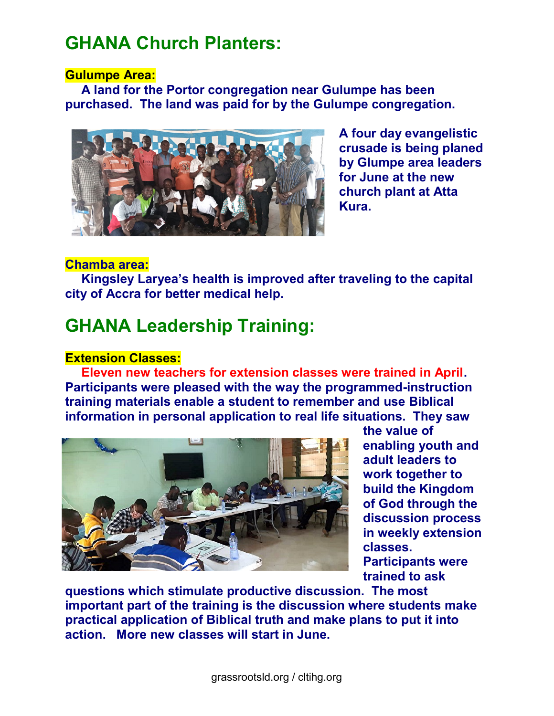### GHANA Church Planters:

#### Gulumpe Area:

A land for the Portor congregation near Gulumpe has been purchased. The land was paid for by the Gulumpe congregation.



A four day evangelistic crusade is being planed by Glumpe area leaders for June at the new church plant at Atta Kura.

#### Chamba area:

 Kingsley Laryea's health is improved after traveling to the capital city of Accra for better medical help.

## GHANA Leadership Training:

#### Extension Classes:

Eleven new teachers for extension classes were trained in April. Participants were pleased with the way the programmed-instruction training materials enable a student to remember and use Biblical information in personal application to real life situations. They saw



the value of enabling youth and adult leaders to work together to build the Kingdom of God through the discussion process in weekly extension classes. Participants were

trained to ask

questions which stimulate productive discussion. The most important part of the training is the discussion where students make practical application of Biblical truth and make plans to put it into action. More new classes will start in June.